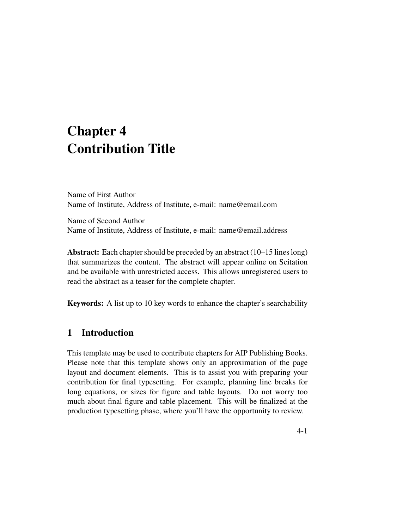# **Chapter 4 Contribution Title**

Name of First Author Name of Institute, Address of Institute, e-mail: name@email.com

Name of Second Author Name of Institute, Address of Institute, e-mail: name@email.address

**Abstract:** Each chapter should be preceded by an abstract (10–15 lines long) that summarizes the content. The abstract will appear online on Scitation and be available with unrestricted access. This allows unregistered users to read the abstract as a teaser for the complete chapter.

**Keywords:** A list up to 10 key words to enhance the chapter's searchability

# **1 Introduction**

This template may be used to contribute chapters for AIP Publishing Books. Please note that this template shows only an approximation of the page layout and document elements. This is to assist you with preparing your contribution for final typesetting. For example, planning line breaks for long equations, or sizes for figure and table layouts. Do not worry too much about final figure and table placement. This will be finalized at the production typesetting phase, where you'll have the opportunity to review.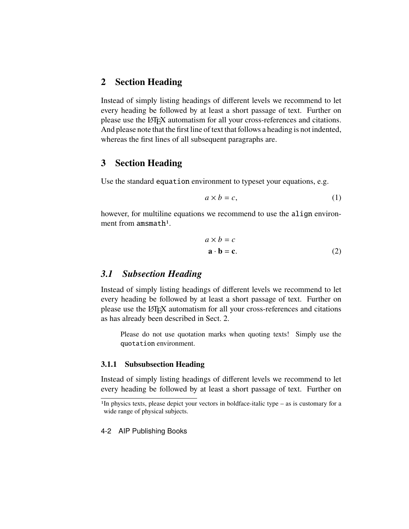# **2 Section Heading**

Instead of simply listing headings of different levels we recommend to let every heading be followed by at least a short passage of text. Further on please use the LATEX automatism for all your cross-references and citations. And please note that the first line of text that follows a heading is not indented, whereas the first lines of all subsequent paragraphs are.

## **3 Section Heading**

Use the standard equation environment to typeset your equations, e.g.

$$
a \times b = c,\tag{1}
$$

however, for multiline equations we recommend to use the align environment from amsmath<sup>1</sup>.

$$
a \times b = c
$$
  

$$
\mathbf{a} \cdot \mathbf{b} = \mathbf{c}.
$$
 (2)

## *3.1 Subsection Heading*

Instead of simply listing headings of different levels we recommend to let every heading be followed by at least a short passage of text. Further on please use the LATEX automatism for all your cross-references and citations as has already been described in Sect. 2.

Please do not use quotation marks when quoting texts! Simply use the quotation environment.

#### **3.1.1 Subsubsection Heading**

Instead of simply listing headings of different levels we recommend to let every heading be followed by at least a short passage of text. Further on

#### 4-2 AIP Publishing Books

<sup>&</sup>lt;sup>1</sup>In physics texts, please depict your vectors in boldface-italic type – as is customary for a wide range of physical subjects.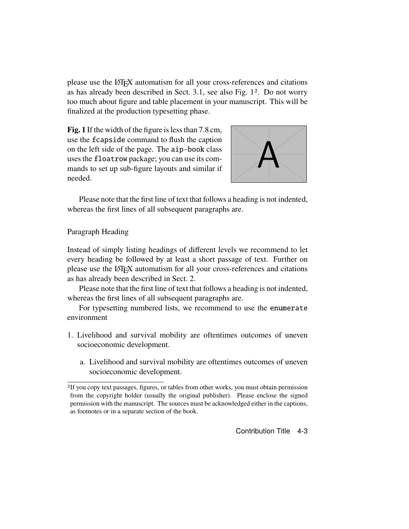please use the LATEX automatism for all your cross-references and citations as has already been described in Sect. 3.1, see also Fig. 12. Do not worry too much about figure and table placement in your manuscript. This will be finalized at the production typesetting phase.

**Fig. 1** If the width of the figure is less than 7.8 cm, use the fcapside command to flush the caption on the left side of the page. The aip-book class uses the floatrow package; you can use its commands to set up sub-figure layouts and similar if needed.



Please note that the first line of text that follows a heading is not indented, whereas the first lines of all subsequent paragraphs are.

## Paragraph Heading

Instead of simply listing headings of different levels we recommend to let every heading be followed by at least a short passage of text. Further on please use the LATEX automatism for all your cross-references and citations as has already been described in Sect. 2.

Please note that the first line of text that follows a heading is not indented, whereas the first lines of all subsequent paragraphs are.

For typesetting numbered lists, we recommend to use the enumerate environment

- 1. Livelihood and survival mobility are oftentimes outcomes of uneven socioeconomic development.
	- a. Livelihood and survival mobility are oftentimes outcomes of uneven socioeconomic development.

<sup>2</sup>If you copy text passages, figures, or tables from other works, you must obtain permission from the copyright holder (usually the original publisher). Please enclose the signed permission with the manuscript. The sources must be acknowledged either in the captions, as footnotes or in a separate section of the book.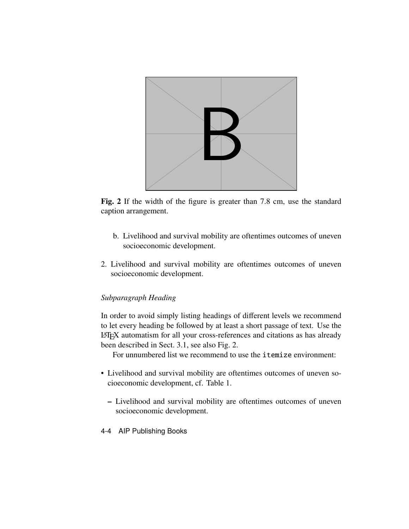

**Fig. 2** If the width of the figure is greater than 7.8 cm, use the standard caption arrangement.

- b. Livelihood and survival mobility are oftentimes outcomes of uneven socioeconomic development.
- 2. Livelihood and survival mobility are oftentimes outcomes of uneven socioeconomic development.

## *Subparagraph Heading*

In order to avoid simply listing headings of different levels we recommend to let every heading be followed by at least a short passage of text. Use the LATEX automatism for all your cross-references and citations as has already been described in Sect. 3.1, see also Fig. 2.

For unnumbered list we recommend to use the itemize environment:

- Livelihood and survival mobility are oftentimes outcomes of uneven socioeconomic development, cf. Table 1.
	- **–** Livelihood and survival mobility are oftentimes outcomes of uneven socioeconomic development.
- 4-4 AIP Publishing Books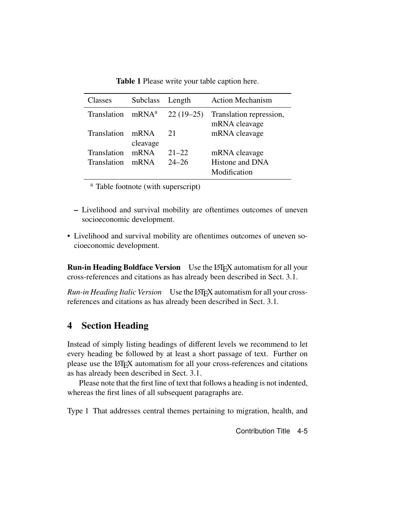| Classes            | <b>Subclass</b>   | Length      | <b>Action Mechanism</b>                  |
|--------------------|-------------------|-------------|------------------------------------------|
| Translation        | mRNA <sup>a</sup> | $22(19-25)$ | Translation repression,<br>mRNA cleavage |
| <b>Translation</b> | mRNA<br>cleavage  | 21          | mRNA cleavage                            |
| <b>Translation</b> | mRNA              | $21 - 22$   | mRNA cleavage                            |
| <b>Translation</b> | mRNA              | $24 - 26$   | Histone and DNA<br>Modification          |

**Table 1** Please write your table caption here.

<sup>a</sup> Table footnote (with superscript)

- **–** Livelihood and survival mobility are oftentimes outcomes of uneven socioeconomic development.
- Livelihood and survival mobility are oftentimes outcomes of uneven socioeconomic development.

**Run-in Heading Boldface Version** Use the LAT<sub>E</sub>X automatism for all your cross-references and citations as has already been described in Sect. 3.1.

*Run-in Heading Italic Version* Use the LATEX automatism for all your crossreferences and citations as has already been described in Sect. 3.1.

# **4 Section Heading**

Instead of simply listing headings of different levels we recommend to let every heading be followed by at least a short passage of text. Further on please use the LATEX automatism for all your cross-references and citations as has already been described in Sect. 3.1.

Please note that the first line of text that follows a heading is not indented, whereas the first lines of all subsequent paragraphs are.

Type 1 That addresses central themes pertaining to migration, health, and

Contribution Title 4-5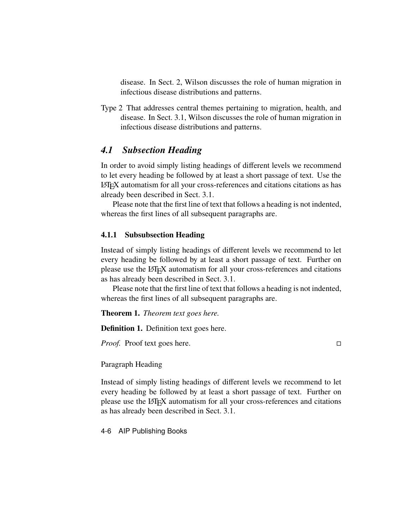disease. In Sect. 2, Wilson discusses the role of human migration in infectious disease distributions and patterns.

Type 2 That addresses central themes pertaining to migration, health, and disease. In Sect. 3.1, Wilson discusses the role of human migration in infectious disease distributions and patterns.

## *4.1 Subsection Heading*

In order to avoid simply listing headings of different levels we recommend to let every heading be followed by at least a short passage of text. Use the LATEX automatism for all your cross-references and citations citations as has already been described in Sect. 3.1.

Please note that the first line of text that follows a heading is not indented, whereas the first lines of all subsequent paragraphs are.

#### **4.1.1 Subsubsection Heading**

Instead of simply listing headings of different levels we recommend to let every heading be followed by at least a short passage of text. Further on please use the LATEX automatism for all your cross-references and citations as has already been described in Sect. 3.1.

Please note that the first line of text that follows a heading is not indented, whereas the first lines of all subsequent paragraphs are.

**Theorem 1.** *Theorem text goes here.*

**Definition 1.** Definition text goes here.

*Proof.* Proof text goes here. □

Paragraph Heading

Instead of simply listing headings of different levels we recommend to let every heading be followed by at least a short passage of text. Further on please use the LATEX automatism for all your cross-references and citations as has already been described in Sect. 3.1.

4-6 AIP Publishing Books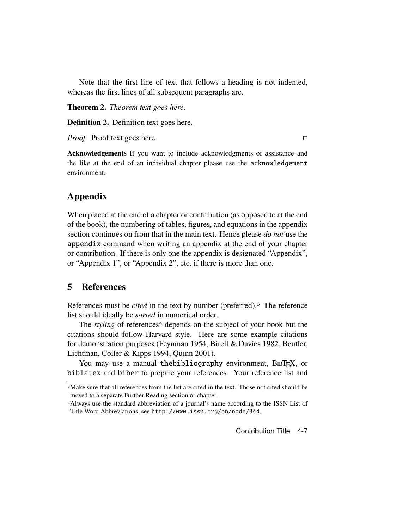Note that the first line of text that follows a heading is not indented, whereas the first lines of all subsequent paragraphs are.

**Theorem 2.** *Theorem text goes here.*

**Definition 2.** Definition text goes here.

*Proof.* Proof text goes here. □

**Acknowledgements** If you want to include acknowledgments of assistance and the like at the end of an individual chapter please use the acknowledgement environment.

## **Appendix**

When placed at the end of a chapter or contribution (as opposed to at the end of the book), the numbering of tables, figures, and equations in the appendix section continues on from that in the main text. Hence please *do not* use the appendix command when writing an appendix at the end of your chapter or contribution. If there is only one the appendix is designated "Appendix", or "Appendix 1", or "Appendix 2", etc. if there is more than one.

## **5 References**

References must be *cited* in the text by number (preferred).3 The reference list should ideally be *sorted* in numerical order.

The *styling* of references<sup>4</sup> depends on the subject of your book but the citations should follow Harvard style. Here are some example citations for demonstration purposes (Feynman 1954, Birell & Davies 1982, Beutler, Lichtman, Coller & Kipps 1994, Quinn 2001).

You may use a manual thebibliography environment, BIBT<sub>E</sub>X, or biblatex and biber to prepare your references. Your reference list and

<sup>3</sup>Make sure that all references from the list are cited in the text. Those not cited should be moved to a separate Further Reading section or chapter.

<sup>4</sup>Always use the standard abbreviation of a journal's name according to the ISSN List of Title Word Abbreviations, see http://www.issn.org/en/node/344.